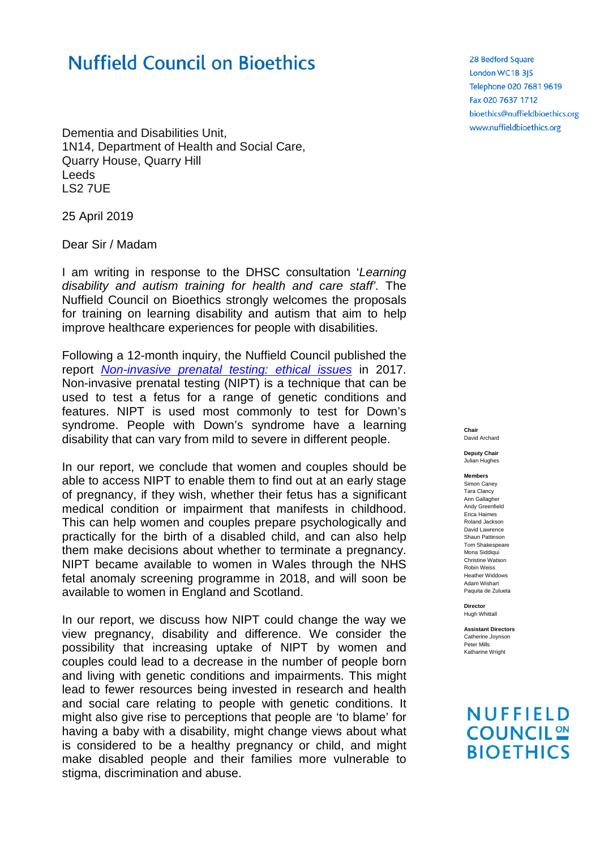## **Nuffield Council on Bioethics**

Dementia and Disabilities Unit, 1N14, Department of Health and Social Care, Quarry House, Quarry Hill Leeds LS2 7UE

25 April 2019

Dear Sir / Madam

I am writing in response to the DHSC consultation '*Learning disability and autism training for health and care staff'*. The Nuffield Council on Bioethics strongly welcomes the proposals for training on learning disability and autism that aim to help improve healthcare experiences for people with disabilities.

Following a 12-month inquiry, the Nuffield Council published the report *[Non-invasive prenatal testing: ethical issues](http://nuffieldbioethics.org/project/non-invasive-prenatal-testing)* in 2017. Non-invasive prenatal testing (NIPT) is a technique that can be used to test a fetus for a range of genetic conditions and features. NIPT is used most commonly to test for Down's syndrome. People with Down's syndrome have a learning disability that can vary from mild to severe in different people.

In our report, we conclude that women and couples should be able to access NIPT to enable them to find out at an early stage of pregnancy, if they wish, whether their fetus has a significant medical condition or impairment that manifests in childhood. This can help women and couples prepare psychologically and practically for the birth of a disabled child, and can also help them make decisions about whether to terminate a pregnancy. NIPT became available to women in Wales through the NHS fetal anomaly screening programme in 2018, and will soon be available to women in England and Scotland.

In our report, we discuss how NIPT could change the way we view pregnancy, disability and difference. We consider the possibility that increasing uptake of NIPT by women and couples could lead to a decrease in the number of people born and living with genetic conditions and impairments. This might lead to fewer resources being invested in research and health and social care relating to people with genetic conditions. It might also give rise to perceptions that people are 'to blame' for having a baby with a disability, might change views about what is considered to be a healthy pregnancy or child, and might make disabled people and their families more vulnerable to stigma, discrimination and abuse.

28 Bedford Square London WC1B 3JS Telephone 020 7681 9619 Fax 020 7637 1712 bioethics@nuffieldbioethics.org www.nuffieldbioethics.org

**Chair** David Archard

**Deputy Chair** Julian Hughes

**Members**

Simon Caney Tara Clancy Ann Gallagher Andy Greenfield Erica Haimes Roland Jackson David Lawrence Shaun Pattinson Tom Shakespeare Mona Siddiqui Christine Watson Robin Weiss Heather Widdows Adam Wishart Paquita de Zulueta

**Director** Hugh Whittall

**Assistant Directors** Catherine Joynson Peter Mills Katharine Wright

## **NUFFIELD COUNCIL ON BIOETHICS**